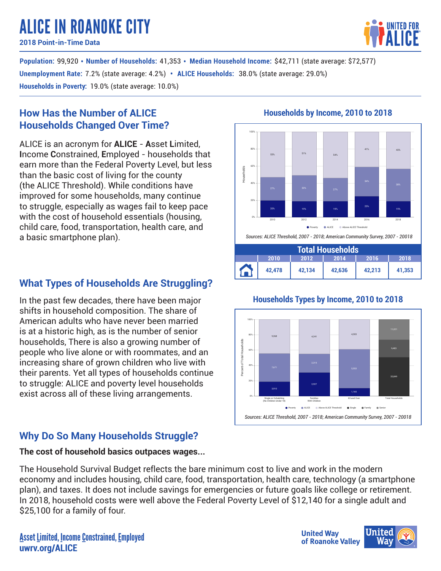# ALICE IN ROANOKE CITY

**2018 Point-in-Time Data**

**Population: 99,920 • Number of Households: 41,353 • Median Household Income: \$42,711 (state average: \$72,577) Unemployment Rate:** 7.2% (state average: 4.2%) • ALICE Households:  $38.0\%$  (state average: 29.0%) **Households in Poverty**: 19.0% (state average: 10.0%)

## **How Has the Number of ALICE Households Changed Over Time?**

ALICE is an acronym for **ALICE** - **A**sset **L**imited, **I**ncome **C**onstrained, **E**mployed - households that earn more than the Federal Poverty Level, but less than the basic cost of living for the county (the ALICE Threshold). While conditions have improved for some households, many continue to struggle, especially as wages fail to keep pace with the cost of household essentials (housing, child care, food, transportation, health care, and a basic smartphone plan).

# **What Types of Households Are Struggling?**

In the past few decades, there have been major shifts in household composition. The share of American adults who have never been married is at a historic high, as is the number of senior households, There is also a growing number of people who live alone or with roommates, and an increasing share of grown children who live with their parents. Yet all types of households continue to struggle: ALICE and poverty level households exist across all of these living arrangements.

# **Why Do So Many Households Struggle?**

### **The cost of household basics outpaces wages...**

The Household Survival Budget reflects the bare minimum cost to live and work in the modern economy and includes housing, child care, food, transportation, health care, technology (a smartphone plan), and taxes. It does not include savings for emergencies or future goals like college or retirement. In 2018, household costs were well above the Federal Poverty Level of \$12,140 for a single adult and \$25,100 for a family of four.

## **Households by Income, 2010 to 2018**



### **Households Types by Income, 2010 to 2018**